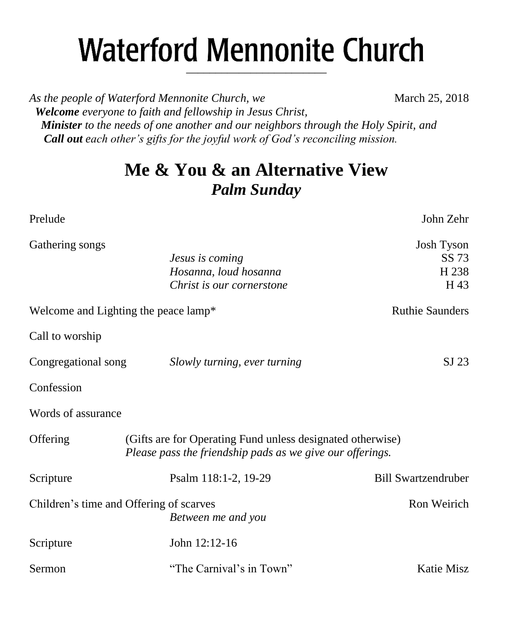# **Waterford Mennonite Church** \_\_\_\_\_\_\_\_\_\_\_\_\_\_\_\_\_\_\_\_\_\_\_\_

*As the people of Waterford Mennonite Church, we* March 25, 2018  *Welcome everyone to faith and fellowship in Jesus Christ, Minister to the needs of one another and our neighbors through the Holy Spirit, and Call out each other's gifts for the joyful work of God's reconciling mission.*

# **Me & You & an Alternative View** *Palm Sunday*

| Prelude             |                                                                                                                         | John Zehr                            |
|---------------------|-------------------------------------------------------------------------------------------------------------------------|--------------------------------------|
| Gathering songs     | Jesus is coming<br>Hosanna, loud hosanna<br>Christ is our cornerstone                                                   | Josh Tyson<br>SS 73<br>H 238<br>H 43 |
|                     | Welcome and Lighting the peace lamp*                                                                                    | <b>Ruthie Saunders</b>               |
| Call to worship     |                                                                                                                         |                                      |
| Congregational song | Slowly turning, ever turning                                                                                            | $SI$ 23                              |
| Confession          |                                                                                                                         |                                      |
| Words of assurance  |                                                                                                                         |                                      |
| Offering            | (Gifts are for Operating Fund unless designated otherwise)<br>Please pass the friendship pads as we give our offerings. |                                      |
| Scripture           | Psalm 118:1-2, 19-29                                                                                                    | <b>Bill Swartzendruber</b>           |
|                     | Children's time and Offering of scarves<br>Between me and you                                                           | Ron Weirich                          |
| Scripture           | John 12:12-16                                                                                                           |                                      |
| Sermon              | "The Carnival's in Town"                                                                                                | Katie Misz                           |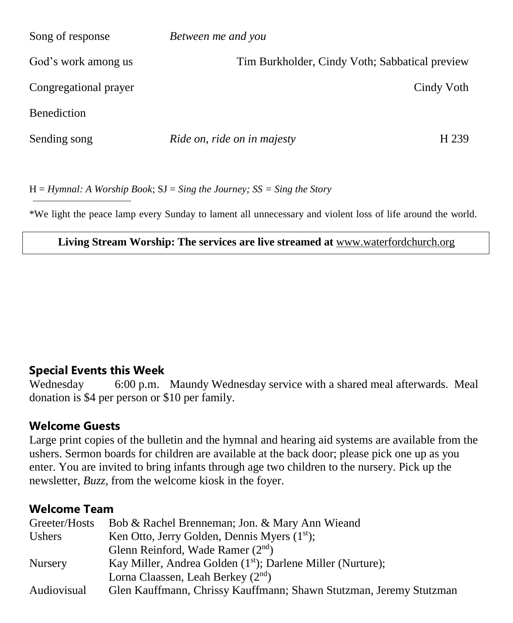| Song of response      | Between me and you                             |
|-----------------------|------------------------------------------------|
| God's work among us   | Tim Burkholder, Cindy Voth; Sabbatical preview |
| Congregational prayer | Cindy Voth                                     |
| <b>Benediction</b>    |                                                |
| Sending song          | Ride on, ride on in majesty<br>H 239           |

H = *Hymnal: A Worship Book*; SJ = *Sing the Journey; SS = Sing the Story*

\*We light the peace lamp every Sunday to lament all unnecessary and violent loss of life around the world.

#### **Living Stream Worship: The services are live streamed at** [www.waterfordchurch.org](http://www.waterfordchurch.org/)

#### **Special Events this Week**

Wednesday 6:00 p.m. Maundy Wednesday service with a shared meal afterwards. Meal donation is \$4 per person or \$10 per family.

#### **Welcome Guests**

Large print copies of the bulletin and the hymnal and hearing aid systems are available from the ushers. Sermon boards for children are available at the back door; please pick one up as you enter. You are invited to bring infants through age two children to the nursery. Pick up the newsletter, *Buzz,* from the welcome kiosk in the foyer.

#### **Welcome Team**

| Greeter/Hosts  | Bob & Rachel Brenneman; Jon. & Mary Ann Wieand                     |  |  |
|----------------|--------------------------------------------------------------------|--|--|
| Ushers         | Ken Otto, Jerry Golden, Dennis Myers $(1st)$ ;                     |  |  |
|                | Glenn Reinford, Wade Ramer $(2nd)$                                 |  |  |
| <b>Nursery</b> | Kay Miller, Andrea Golden $(1st)$ ; Darlene Miller (Nurture);      |  |  |
|                | Lorna Claassen, Leah Berkey $(2^{nd})$                             |  |  |
| Audiovisual    | Glen Kauffmann, Chrissy Kauffmann; Shawn Stutzman, Jeremy Stutzman |  |  |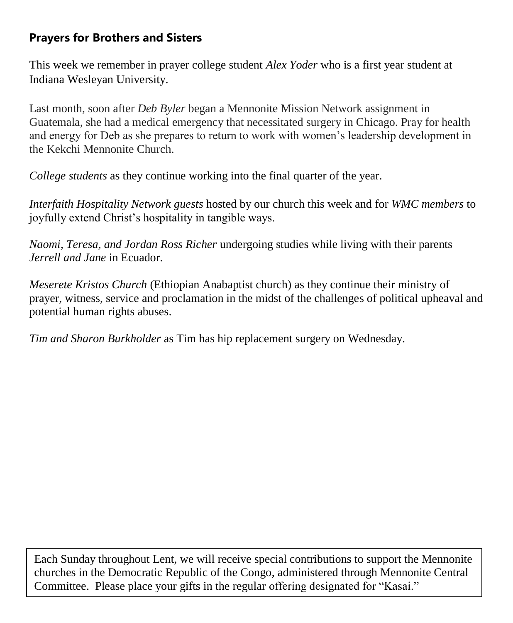### **Prayers for Brothers and Sisters**

This week we remember in prayer college student *Alex Yoder* who is a first year student at Indiana Wesleyan University.

Last month, soon after *Deb Byler* began a Mennonite Mission Network assignment in Guatemala, she had a medical emergency that necessitated surgery in Chicago. Pray for health and energy for Deb as she prepares to return to work with women's leadership development in the Kekchi Mennonite Church.

*College students* as they continue working into the final quarter of the year.

*Interfaith Hospitality Network guests* hosted by our church this week and for *WMC members* to joyfully extend Christ's hospitality in tangible ways.

*Naomi, Teresa, and Jordan Ross Richer* undergoing studies while living with their parents *Jerrell and Jane* in Ecuador.

*Meserete Kristos Church* (Ethiopian Anabaptist church) as they continue their ministry of prayer, witness, service and proclamation in the midst of the challenges of political upheaval and potential human rights abuses.

*Tim and Sharon Burkholder* as Tim has hip replacement surgery on Wednesday.

Each Sunday throughout Lent, we will receive special contributions to support the Mennonite churches in the Democratic Republic of the Congo, administered through Mennonite Central Committee. Please place your gifts in the regular offering designated for "Kasai."